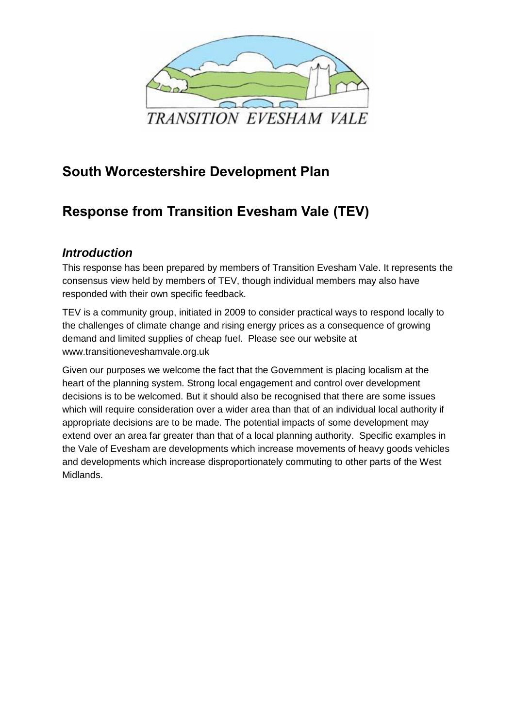

### **South Worcestershire Development Plan**

## **Response from Transition Evesham Vale (TEV)**

#### *Introduction*

This response has been prepared by members of Transition Evesham Vale. It represents the consensus view held by members of TEV, though individual members may also have responded with their own specific feedback.

TEV is a community group, initiated in 2009 to consider practical ways to respond locally to the challenges of climate change and rising energy prices as a consequence of growing demand and limited supplies of cheap fuel. Please see our website at www.transitioneveshamvale.org.uk

Given our purposes we welcome the fact that the Government is placing localism at the heart of the planning system. Strong local engagement and control over development decisions is to be welcomed. But it should also be recognised that there are some issues which will require consideration over a wider area than that of an individual local authority if appropriate decisions are to be made. The potential impacts of some development may extend over an area far greater than that of a local planning authority. Specific examples in the Vale of Evesham are developments which increase movements of heavy goods vehicles and developments which increase disproportionately commuting to other parts of the West Midlands.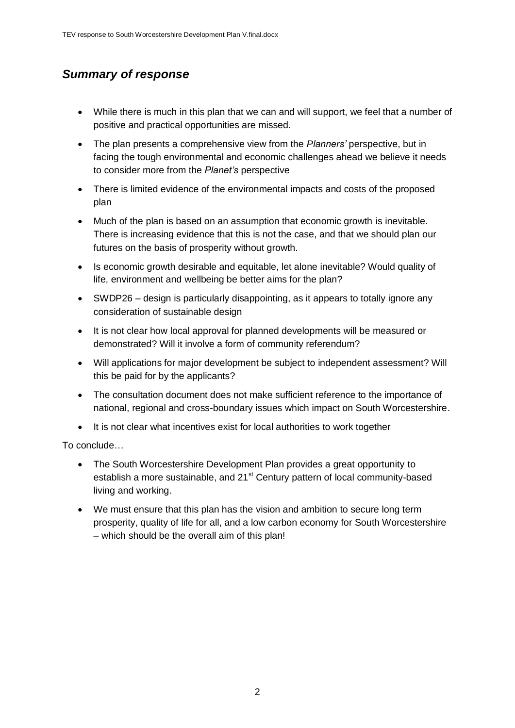#### *Summary of response*

- While there is much in this plan that we can and will support, we feel that a number of positive and practical opportunities are missed.
- The plan presents a comprehensive view from the *Planners'* perspective, but in facing the tough environmental and economic challenges ahead we believe it needs to consider more from the *Planet's* perspective
- There is limited evidence of the environmental impacts and costs of the proposed plan
- Much of the plan is based on an assumption that economic growth is inevitable. There is increasing evidence that this is not the case, and that we should plan our futures on the basis of prosperity without growth.
- Is economic growth desirable and equitable, let alone inevitable? Would quality of life, environment and wellbeing be better aims for the plan?
- SWDP26 design is particularly disappointing, as it appears to totally ignore any consideration of sustainable design
- It is not clear how local approval for planned developments will be measured or demonstrated? Will it involve a form of community referendum?
- Will applications for major development be subject to independent assessment? Will this be paid for by the applicants?
- The consultation document does not make sufficient reference to the importance of national, regional and cross-boundary issues which impact on South Worcestershire.
- It is not clear what incentives exist for local authorities to work together

To conclude…

- The South Worcestershire Development Plan provides a great opportunity to establish a more sustainable, and 21<sup>st</sup> Century pattern of local community-based living and working.
- We must ensure that this plan has the vision and ambition to secure long term prosperity, quality of life for all, and a low carbon economy for South Worcestershire – which should be the overall aim of this plan!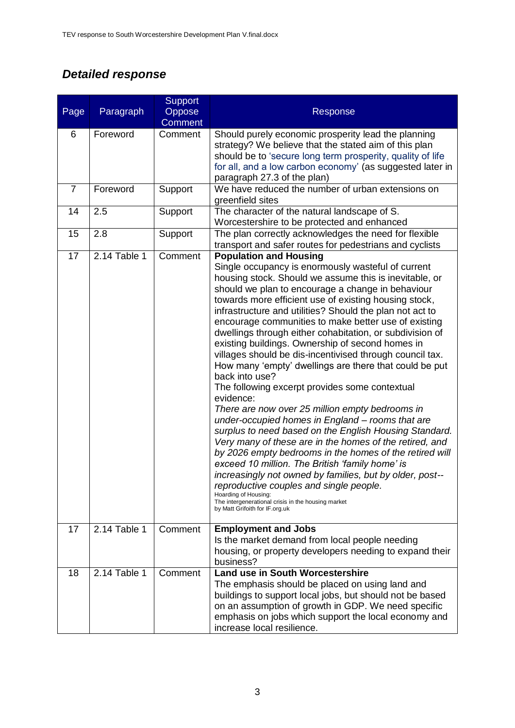# *Detailed response*

|                |              | <b>Support</b> |                                                                                                                                                                                                                                                                                                                                                                                                                                                                                                                                                                                                                                                                                                                                                                                                                                                                                                                                                                                                                                                                                                                                                                                                                                                                         |
|----------------|--------------|----------------|-------------------------------------------------------------------------------------------------------------------------------------------------------------------------------------------------------------------------------------------------------------------------------------------------------------------------------------------------------------------------------------------------------------------------------------------------------------------------------------------------------------------------------------------------------------------------------------------------------------------------------------------------------------------------------------------------------------------------------------------------------------------------------------------------------------------------------------------------------------------------------------------------------------------------------------------------------------------------------------------------------------------------------------------------------------------------------------------------------------------------------------------------------------------------------------------------------------------------------------------------------------------------|
| Page           | Paragraph    | Oppose         | Response                                                                                                                                                                                                                                                                                                                                                                                                                                                                                                                                                                                                                                                                                                                                                                                                                                                                                                                                                                                                                                                                                                                                                                                                                                                                |
|                |              | <b>Comment</b> |                                                                                                                                                                                                                                                                                                                                                                                                                                                                                                                                                                                                                                                                                                                                                                                                                                                                                                                                                                                                                                                                                                                                                                                                                                                                         |
| 6              | Foreword     | Comment        | Should purely economic prosperity lead the planning<br>strategy? We believe that the stated aim of this plan<br>should be to 'secure long term prosperity, quality of life<br>for all, and a low carbon economy' (as suggested later in<br>paragraph 27.3 of the plan)                                                                                                                                                                                                                                                                                                                                                                                                                                                                                                                                                                                                                                                                                                                                                                                                                                                                                                                                                                                                  |
| $\overline{7}$ | Foreword     | Support        | We have reduced the number of urban extensions on<br>greenfield sites                                                                                                                                                                                                                                                                                                                                                                                                                                                                                                                                                                                                                                                                                                                                                                                                                                                                                                                                                                                                                                                                                                                                                                                                   |
| 14             | 2.5          | Support        | The character of the natural landscape of S.<br>Worcestershire to be protected and enhanced                                                                                                                                                                                                                                                                                                                                                                                                                                                                                                                                                                                                                                                                                                                                                                                                                                                                                                                                                                                                                                                                                                                                                                             |
| 15             | 2.8          | Support        | The plan correctly acknowledges the need for flexible<br>transport and safer routes for pedestrians and cyclists                                                                                                                                                                                                                                                                                                                                                                                                                                                                                                                                                                                                                                                                                                                                                                                                                                                                                                                                                                                                                                                                                                                                                        |
| 17             | 2.14 Table 1 | Comment        | <b>Population and Housing</b><br>Single occupancy is enormously wasteful of current<br>housing stock. Should we assume this is inevitable, or<br>should we plan to encourage a change in behaviour<br>towards more efficient use of existing housing stock,<br>infrastructure and utilities? Should the plan not act to<br>encourage communities to make better use of existing<br>dwellings through either cohabitation, or subdivision of<br>existing buildings. Ownership of second homes in<br>villages should be dis-incentivised through council tax.<br>How many 'empty' dwellings are there that could be put<br>back into use?<br>The following excerpt provides some contextual<br>evidence:<br>There are now over 25 million empty bedrooms in<br>under-occupied homes in England - rooms that are<br>surplus to need based on the English Housing Standard.<br>Very many of these are in the homes of the retired, and<br>by 2026 empty bedrooms in the homes of the retired will<br>exceed 10 million. The British 'family home' is<br>increasingly not owned by families, but by older, post--<br>reproductive couples and single people.<br>Hoarding of Housing:<br>The intergenerational crisis in the housing market<br>by Matt Grifoith for IF.org.uk |
| 17             | 2.14 Table 1 | Comment        | <b>Employment and Jobs</b><br>Is the market demand from local people needing<br>housing, or property developers needing to expand their<br>business?                                                                                                                                                                                                                                                                                                                                                                                                                                                                                                                                                                                                                                                                                                                                                                                                                                                                                                                                                                                                                                                                                                                    |
| 18             | 2.14 Table 1 | Comment        | <b>Land use in South Worcestershire</b><br>The emphasis should be placed on using land and<br>buildings to support local jobs, but should not be based<br>on an assumption of growth in GDP. We need specific<br>emphasis on jobs which support the local economy and<br>increase local resilience.                                                                                                                                                                                                                                                                                                                                                                                                                                                                                                                                                                                                                                                                                                                                                                                                                                                                                                                                                                     |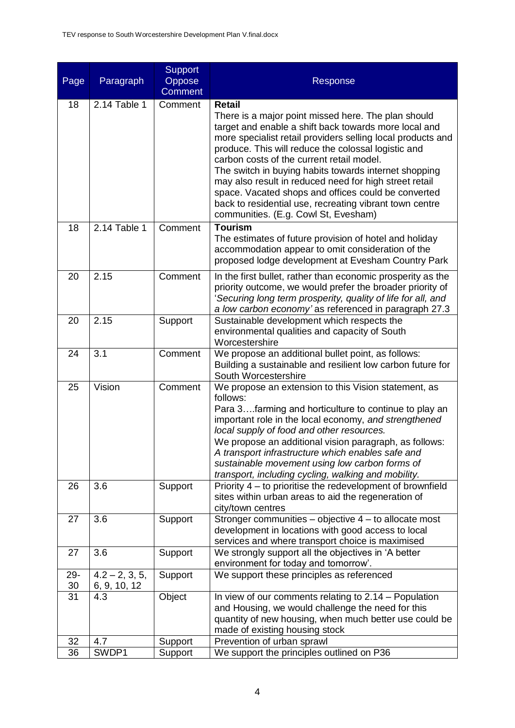| Page            | Paragraph                        | <b>Support</b><br>Oppose<br><b>Comment</b> | Response                                                                                                                                                                                                                                                                                                                                                                                                                                                                                                                                                                      |
|-----------------|----------------------------------|--------------------------------------------|-------------------------------------------------------------------------------------------------------------------------------------------------------------------------------------------------------------------------------------------------------------------------------------------------------------------------------------------------------------------------------------------------------------------------------------------------------------------------------------------------------------------------------------------------------------------------------|
| 18              | 2.14 Table 1                     | Comment                                    | <b>Retail</b><br>There is a major point missed here. The plan should<br>target and enable a shift back towards more local and<br>more specialist retail providers selling local products and<br>produce. This will reduce the colossal logistic and<br>carbon costs of the current retail model.<br>The switch in buying habits towards internet shopping<br>may also result in reduced need for high street retail<br>space. Vacated shops and offices could be converted<br>back to residential use, recreating vibrant town centre<br>communities. (E.g. Cowl St, Evesham) |
| 18              | 2.14 Table 1                     | Comment                                    | <b>Tourism</b><br>The estimates of future provision of hotel and holiday<br>accommodation appear to omit consideration of the<br>proposed lodge development at Evesham Country Park                                                                                                                                                                                                                                                                                                                                                                                           |
| 20              | 2.15                             | Comment                                    | In the first bullet, rather than economic prosperity as the<br>priority outcome, we would prefer the broader priority of<br>'Securing long term prosperity, quality of life for all, and<br>a low carbon economy' as referenced in paragraph 27.3                                                                                                                                                                                                                                                                                                                             |
| 20              | 2.15                             | Support                                    | Sustainable development which respects the<br>environmental qualities and capacity of South<br>Worcestershire                                                                                                                                                                                                                                                                                                                                                                                                                                                                 |
| 24              | 3.1                              | Comment                                    | We propose an additional bullet point, as follows:<br>Building a sustainable and resilient low carbon future for<br>South Worcestershire                                                                                                                                                                                                                                                                                                                                                                                                                                      |
| 25              | Vision                           | Comment                                    | We propose an extension to this Vision statement, as<br>follows:<br>Para 3farming and horticulture to continue to play an<br>important role in the local economy, and strengthened<br>local supply of food and other resources.<br>We propose an additional vision paragraph, as follows:<br>A transport infrastructure which enables safe and<br>sustainable movement using low carbon forms of<br>transport, including cycling, walking and mobility.                                                                                                                       |
| 26              | 3.6                              | Support                                    | Priority 4 – to prioritise the redevelopment of brownfield<br>sites within urban areas to aid the regeneration of<br>city/town centres                                                                                                                                                                                                                                                                                                                                                                                                                                        |
| 27              | 3.6                              | Support                                    | Stronger communities - objective 4 - to allocate most<br>development in locations with good access to local<br>services and where transport choice is maximised                                                                                                                                                                                                                                                                                                                                                                                                               |
| 27              | 3.6                              | Support                                    | We strongly support all the objectives in 'A better<br>environment for today and tomorrow'.                                                                                                                                                                                                                                                                                                                                                                                                                                                                                   |
| $29 -$<br>30    | $4.2 - 2, 3, 5,$<br>6, 9, 10, 12 | Support                                    | We support these principles as referenced                                                                                                                                                                                                                                                                                                                                                                                                                                                                                                                                     |
| $\overline{31}$ | 4.3                              | Object                                     | In view of our comments relating to 2.14 – Population<br>and Housing, we would challenge the need for this<br>quantity of new housing, when much better use could be<br>made of existing housing stock                                                                                                                                                                                                                                                                                                                                                                        |
| 32              | 4.7                              | Support                                    | Prevention of urban sprawl                                                                                                                                                                                                                                                                                                                                                                                                                                                                                                                                                    |
| 36              | SWDP1                            | Support                                    | We support the principles outlined on P36                                                                                                                                                                                                                                                                                                                                                                                                                                                                                                                                     |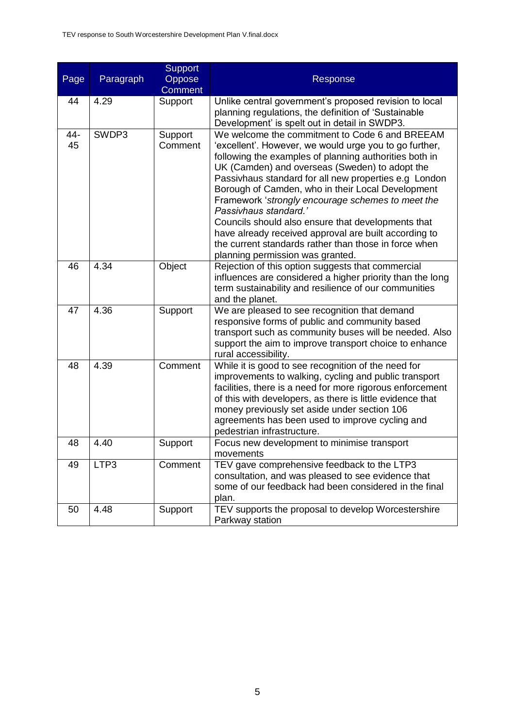| Page      | Paragraph | <b>Support</b><br>Oppose<br><b>Comment</b> | Response                                                                                                                                                                                                                                                                                                                                                                                                                                                                                                                                                                                                                     |
|-----------|-----------|--------------------------------------------|------------------------------------------------------------------------------------------------------------------------------------------------------------------------------------------------------------------------------------------------------------------------------------------------------------------------------------------------------------------------------------------------------------------------------------------------------------------------------------------------------------------------------------------------------------------------------------------------------------------------------|
| 44        | 4.29      | Support                                    | Unlike central government's proposed revision to local<br>planning regulations, the definition of 'Sustainable<br>Development' is spelt out in detail in SWDP3.                                                                                                                                                                                                                                                                                                                                                                                                                                                              |
| 44-<br>45 | SWDP3     | Support<br>Comment                         | We welcome the commitment to Code 6 and BREEAM<br>'excellent'. However, we would urge you to go further,<br>following the examples of planning authorities both in<br>UK (Camden) and overseas (Sweden) to adopt the<br>Passivhaus standard for all new properties e.g London<br>Borough of Camden, who in their Local Development<br>Framework 'strongly encourage schemes to meet the<br>Passivhaus standard.'<br>Councils should also ensure that developments that<br>have already received approval are built according to<br>the current standards rather than those in force when<br>planning permission was granted. |
| 46        | 4.34      | Object                                     | Rejection of this option suggests that commercial<br>influences are considered a higher priority than the long<br>term sustainability and resilience of our communities<br>and the planet.                                                                                                                                                                                                                                                                                                                                                                                                                                   |
| 47        | 4.36      | Support                                    | We are pleased to see recognition that demand<br>responsive forms of public and community based<br>transport such as community buses will be needed. Also<br>support the aim to improve transport choice to enhance<br>rural accessibility.                                                                                                                                                                                                                                                                                                                                                                                  |
| 48        | 4.39      | Comment                                    | While it is good to see recognition of the need for<br>improvements to walking, cycling and public transport<br>facilities, there is a need for more rigorous enforcement<br>of this with developers, as there is little evidence that<br>money previously set aside under section 106<br>agreements has been used to improve cycling and<br>pedestrian infrastructure.                                                                                                                                                                                                                                                      |
| 48        | 4.40      | Support                                    | Focus new development to minimise transport<br>movements                                                                                                                                                                                                                                                                                                                                                                                                                                                                                                                                                                     |
| 49        | LTP3      | Comment                                    | TEV gave comprehensive feedback to the LTP3<br>consultation, and was pleased to see evidence that<br>some of our feedback had been considered in the final<br>plan.                                                                                                                                                                                                                                                                                                                                                                                                                                                          |
| 50        | 4.48      | Support                                    | TEV supports the proposal to develop Worcestershire<br>Parkway station                                                                                                                                                                                                                                                                                                                                                                                                                                                                                                                                                       |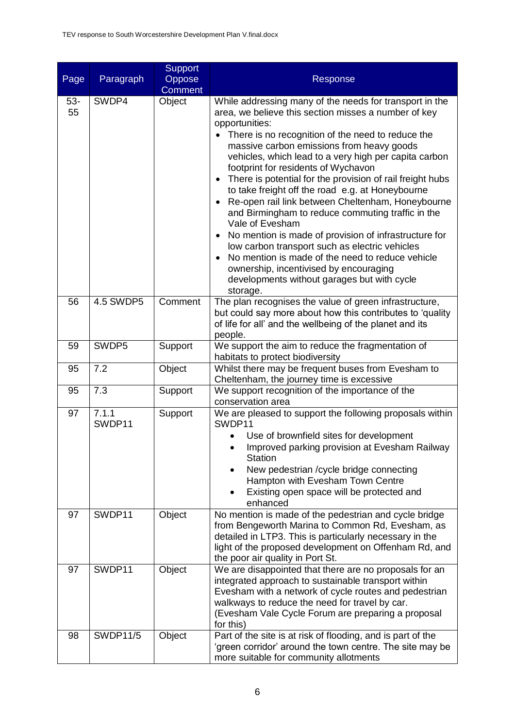| Page        | Paragraph       | <b>Support</b><br>Oppose<br><b>Comment</b> | Response                                                                                                                                                                                                                                                                                                                                                                                                                                                                                                                                                                                                                                                                                                                                                                                                                                                           |
|-------------|-----------------|--------------------------------------------|--------------------------------------------------------------------------------------------------------------------------------------------------------------------------------------------------------------------------------------------------------------------------------------------------------------------------------------------------------------------------------------------------------------------------------------------------------------------------------------------------------------------------------------------------------------------------------------------------------------------------------------------------------------------------------------------------------------------------------------------------------------------------------------------------------------------------------------------------------------------|
| $53-$<br>55 | SWDP4           | Object                                     | While addressing many of the needs for transport in the<br>area, we believe this section misses a number of key<br>opportunities:<br>There is no recognition of the need to reduce the<br>$\bullet$<br>massive carbon emissions from heavy goods<br>vehicles, which lead to a very high per capita carbon<br>footprint for residents of Wychavon<br>There is potential for the provision of rail freight hubs<br>to take freight off the road e.g. at Honeybourne<br>Re-open rail link between Cheltenham, Honeybourne<br>and Birmingham to reduce commuting traffic in the<br>Vale of Evesham<br>No mention is made of provision of infrastructure for<br>low carbon transport such as electric vehicles<br>No mention is made of the need to reduce vehicle<br>ownership, incentivised by encouraging<br>developments without garages but with cycle<br>storage. |
| 56          | 4.5 SWDP5       | Comment                                    | The plan recognises the value of green infrastructure,<br>but could say more about how this contributes to 'quality<br>of life for all' and the wellbeing of the planet and its<br>people.                                                                                                                                                                                                                                                                                                                                                                                                                                                                                                                                                                                                                                                                         |
| 59          | SWDP5           | Support                                    | We support the aim to reduce the fragmentation of<br>habitats to protect biodiversity                                                                                                                                                                                                                                                                                                                                                                                                                                                                                                                                                                                                                                                                                                                                                                              |
| 95          | 7.2             | Object                                     | Whilst there may be frequent buses from Evesham to<br>Cheltenham, the journey time is excessive                                                                                                                                                                                                                                                                                                                                                                                                                                                                                                                                                                                                                                                                                                                                                                    |
| 95          | 7.3             | Support                                    | We support recognition of the importance of the<br>conservation area                                                                                                                                                                                                                                                                                                                                                                                                                                                                                                                                                                                                                                                                                                                                                                                               |
| 97          | 7.1.1<br>SWDP11 | Support                                    | We are pleased to support the following proposals within<br>SWDP11<br>Use of brownfield sites for development<br>Improved parking provision at Evesham Railway<br><b>Station</b><br>New pedestrian / cycle bridge connecting<br>Hampton with Evesham Town Centre<br>Existing open space will be protected and<br>enhanced                                                                                                                                                                                                                                                                                                                                                                                                                                                                                                                                          |
| 97          | SWDP11          | Object                                     | No mention is made of the pedestrian and cycle bridge<br>from Bengeworth Marina to Common Rd, Evesham, as<br>detailed in LTP3. This is particularly necessary in the<br>light of the proposed development on Offenham Rd, and<br>the poor air quality in Port St.                                                                                                                                                                                                                                                                                                                                                                                                                                                                                                                                                                                                  |
| 97          | SWDP11          | Object                                     | We are disappointed that there are no proposals for an<br>integrated approach to sustainable transport within<br>Evesham with a network of cycle routes and pedestrian<br>walkways to reduce the need for travel by car.<br>(Evesham Vale Cycle Forum are preparing a proposal<br>for this)                                                                                                                                                                                                                                                                                                                                                                                                                                                                                                                                                                        |
| 98          | <b>SWDP11/5</b> | Object                                     | Part of the site is at risk of flooding, and is part of the<br>'green corridor' around the town centre. The site may be<br>more suitable for community allotments                                                                                                                                                                                                                                                                                                                                                                                                                                                                                                                                                                                                                                                                                                  |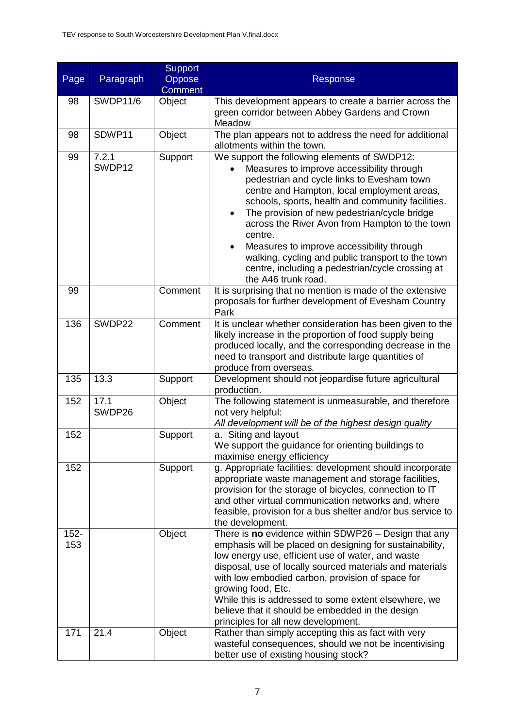| Page           | Paragraph       | <b>Support</b><br>Oppose<br><b>Comment</b> | Response                                                                                                                                                                                                                                                                                                                                                                                                                                                                                                                              |
|----------------|-----------------|--------------------------------------------|---------------------------------------------------------------------------------------------------------------------------------------------------------------------------------------------------------------------------------------------------------------------------------------------------------------------------------------------------------------------------------------------------------------------------------------------------------------------------------------------------------------------------------------|
| 98             | <b>SWDP11/6</b> | Object                                     | This development appears to create a barrier across the                                                                                                                                                                                                                                                                                                                                                                                                                                                                               |
|                |                 |                                            | green corridor between Abbey Gardens and Crown<br>Meadow                                                                                                                                                                                                                                                                                                                                                                                                                                                                              |
| 98             | SDWP11          | Object                                     | The plan appears not to address the need for additional<br>allotments within the town.                                                                                                                                                                                                                                                                                                                                                                                                                                                |
| 99             | 7.2.1<br>SWDP12 | Support                                    | We support the following elements of SWDP12:<br>Measures to improve accessibility through<br>pedestrian and cycle links to Evesham town<br>centre and Hampton, local employment areas,<br>schools, sports, health and community facilities.<br>The provision of new pedestrian/cycle bridge<br>across the River Avon from Hampton to the town<br>centre.<br>Measures to improve accessibility through<br>walking, cycling and public transport to the town<br>centre, including a pedestrian/cycle crossing at<br>the A46 trunk road. |
| 99             |                 | Comment                                    | It is surprising that no mention is made of the extensive<br>proposals for further development of Evesham Country<br>Park                                                                                                                                                                                                                                                                                                                                                                                                             |
| 136            | SWDP22          | Comment                                    | It is unclear whether consideration has been given to the<br>likely increase in the proportion of food supply being<br>produced locally, and the corresponding decrease in the<br>need to transport and distribute large quantities of<br>produce from overseas.                                                                                                                                                                                                                                                                      |
| 135            | 13.3            | Support                                    | Development should not jeopardise future agricultural<br>production.                                                                                                                                                                                                                                                                                                                                                                                                                                                                  |
| 152            | 17.1<br>SWDP26  | Object                                     | The following statement is unmeasurable, and therefore<br>not very helpful:<br>All development will be of the highest design quality                                                                                                                                                                                                                                                                                                                                                                                                  |
| 152            |                 | Support                                    | a. Siting and layout<br>We support the guidance for orienting buildings to<br>maximise energy efficiency                                                                                                                                                                                                                                                                                                                                                                                                                              |
| 152            |                 | Support                                    | g. Appropriate facilities: development should incorporate<br>appropriate waste management and storage facilities,<br>provision for the storage of bicycles, connection to IT<br>and other virtual communication networks and, where<br>feasible, provision for a bus shelter and/or bus service to<br>the development.                                                                                                                                                                                                                |
| $152 -$<br>153 |                 | Object                                     | There is no evidence within SDWP26 - Design that any<br>emphasis will be placed on designing for sustainability,<br>low energy use, efficient use of water, and waste<br>disposal, use of locally sourced materials and materials<br>with low embodied carbon, provision of space for<br>growing food, Etc.<br>While this is addressed to some extent elsewhere, we<br>believe that it should be embedded in the design<br>principles for all new development.                                                                        |
| 171            | 21.4            | Object                                     | Rather than simply accepting this as fact with very<br>wasteful consequences, should we not be incentivising<br>better use of existing housing stock?                                                                                                                                                                                                                                                                                                                                                                                 |